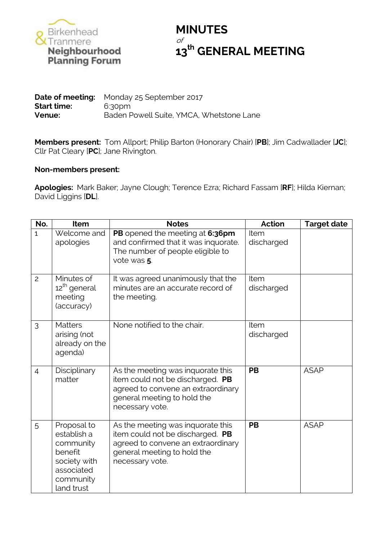

## **MINUTES** of **th GENERAL MEETING**

## **Date of meeting:** Monday 25 September 2017 **Start time:** 6:30pm **Venue:** Baden Powell Suite, YMCA, Whetstone Lane

**Members present:** Tom Allport; Philip Barton (Honorary Chair) [**PB**]; Jim Cadwallader [**JC**]; Cllr Pat Cleary [**PC**]; Jane Rivington.

## **Non-members present:**

**Apologies:** Mark Baker; Jayne Clough; Terence Ezra; Richard Fassam [**RF**]; Hilda Kiernan; David Liggins [**DL**].

| No.            | Item                                                                                                        | <b>Notes</b>                                                                                                                                                  | <b>Action</b>      | <b>Target date</b> |
|----------------|-------------------------------------------------------------------------------------------------------------|---------------------------------------------------------------------------------------------------------------------------------------------------------------|--------------------|--------------------|
| $\mathbf{1}$   | Welcome and<br>apologies                                                                                    | PB opened the meeting at 6:36pm<br>and confirmed that it was inquorate.<br>The number of people eligible to<br>vote was 5.                                    | Item<br>discharged |                    |
| $\overline{c}$ | Minutes of<br>12 <sup>th</sup> general<br>meeting<br>(accuracy)                                             | It was agreed unanimously that the<br>minutes are an accurate record of<br>the meeting.                                                                       | Item<br>discharged |                    |
| 3              | <b>Matters</b><br>arising (not<br>already on the<br>agenda)                                                 | None notified to the chair.                                                                                                                                   | Item<br>discharged |                    |
| $\overline{4}$ | Disciplinary<br>matter                                                                                      | As the meeting was inquorate this<br>item could not be discharged. PB<br>agreed to convene an extraordinary<br>general meeting to hold the<br>necessary vote. | <b>PB</b>          | <b>ASAP</b>        |
| 5              | Proposal to<br>establish a<br>community<br>benefit<br>society with<br>associated<br>community<br>land trust | As the meeting was inquorate this<br>item could not be discharged. PB<br>agreed to convene an extraordinary<br>general meeting to hold the<br>necessary vote. | <b>PB</b>          | <b>ASAP</b>        |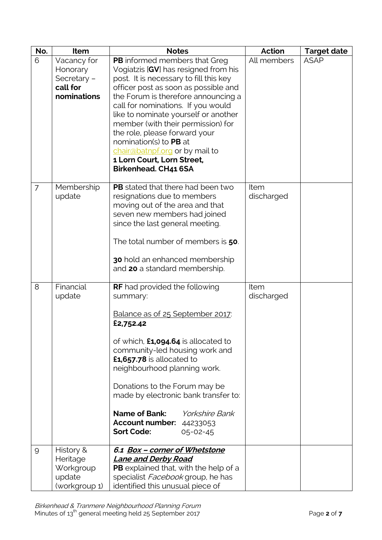| No. | Item                                                              | <b>Notes</b>                                                                                                                                                                                                                                                                                                                                                                                                                                                                 | Action             | <b>Target date</b> |
|-----|-------------------------------------------------------------------|------------------------------------------------------------------------------------------------------------------------------------------------------------------------------------------------------------------------------------------------------------------------------------------------------------------------------------------------------------------------------------------------------------------------------------------------------------------------------|--------------------|--------------------|
| 6   | Vacancy for<br>Honorary<br>Secretary -<br>call for<br>nominations | PB informed members that Greg<br>Vogiatzis [GV] has resigned from his<br>post. It is necessary to fill this key<br>officer post as soon as possible and<br>the Forum is therefore announcing a<br>call for nominations. If you would<br>like to nominate yourself or another<br>member (with their permission) for<br>the role, please forward your<br>nomination(s) to PB at<br>chair@batnpf.org or by mail to<br>1 Lorn Court, Lorn Street,<br><b>Birkenhead. CH41 6SA</b> | All members        | <b>ASAP</b>        |
| 7   | Membership<br>update                                              | <b>PB</b> stated that there had been two<br>resignations due to members<br>moving out of the area and that<br>seven new members had joined<br>since the last general meeting.<br>The total number of members is 50.<br>30 hold an enhanced membership<br>and 20 a standard membership.                                                                                                                                                                                       | Item<br>discharged |                    |
| 8   | Financial<br>update                                               | <b>RF</b> had provided the following<br>summary:<br>Balance as of 25 September 2017:<br>£2,752.42<br>of which, $£1,094.64$ is allocated to<br>community-led housing work and<br>£1,657.78 is allocated to<br>neighbourhood planning work.<br>Donations to the Forum may be<br>made by electronic bank transfer to:<br><b>Name of Bank:</b> Yorkshire Bank<br>Account number: 44233053<br><b>Sort Code:</b><br>$05 - 02 - 45$                                                 | Item<br>discharged |                    |
| 9   | History &<br>Heritage<br>Workgroup<br>update<br>(workgroup 1)     | 6.1 Box - corner of Whetstone<br><b>Lane and Derby Road</b><br>PB explained that, with the help of a<br>specialist <i>Facebook</i> group, he has<br>identified this unusual piece of                                                                                                                                                                                                                                                                                         |                    |                    |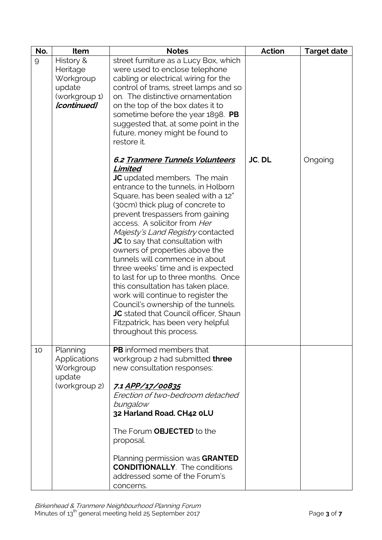| No. | Item                                                                         | <b>Notes</b>                                                                                                                                                                                                                                                                                                                                                                                                                                                                                                                                                                                                                                                                                                                          | <b>Action</b> | <b>Target date</b> |
|-----|------------------------------------------------------------------------------|---------------------------------------------------------------------------------------------------------------------------------------------------------------------------------------------------------------------------------------------------------------------------------------------------------------------------------------------------------------------------------------------------------------------------------------------------------------------------------------------------------------------------------------------------------------------------------------------------------------------------------------------------------------------------------------------------------------------------------------|---------------|--------------------|
| 9   | History &<br>Heritage<br>Workgroup<br>update<br>(workgroup 1)<br>[continued] | street furniture as a Lucy Box, which<br>were used to enclose telephone<br>cabling or electrical wiring for the<br>control of trams, street lamps and so<br>on. The distinctive ornamentation<br>on the top of the box dates it to<br>sometime before the year $1898.$ PB<br>suggested that, at some point in the<br>future, money might be found to<br>restore it.                                                                                                                                                                                                                                                                                                                                                                   |               |                    |
|     |                                                                              | 6.2 Tranmere Tunnels Volunteers<br>Limited<br><b>JC</b> updated members. The main<br>entrance to the tunnels, in Holborn<br>Square, has been sealed with a 12"<br>(30cm) thick plug of concrete to<br>prevent trespassers from gaining<br>access. A solicitor from Her<br>Majesty's Land Registry contacted<br><b>JC</b> to say that consultation with<br>owners of properties above the<br>tunnels will commence in about<br>three weeks' time and is expected<br>to last for up to three months. Once<br>this consultation has taken place,<br>work will continue to register the<br>Council's ownership of the tunnels.<br>JC stated that Council officer, Shaun<br>Fitzpatrick, has been very helpful<br>throughout this process. | JC, DL        | Ongoing            |
| 10  | Planning<br><b>Applications</b><br>Workgroup<br>update<br>(workgroup 2)      | <b>PB</b> informed members that<br>workgroup 2 had submitted three<br>new consultation responses:<br>7.1 APP/17/00835<br>Erection of two-bedroom detached<br>bungalow<br>32 Harland Road. CH42 OLU<br>The Forum OBJECTED to the<br>proposal.<br>Planning permission was GRANTED<br><b>CONDITIONALLY</b> . The conditions<br>addressed some of the Forum's<br>concerns.                                                                                                                                                                                                                                                                                                                                                                |               |                    |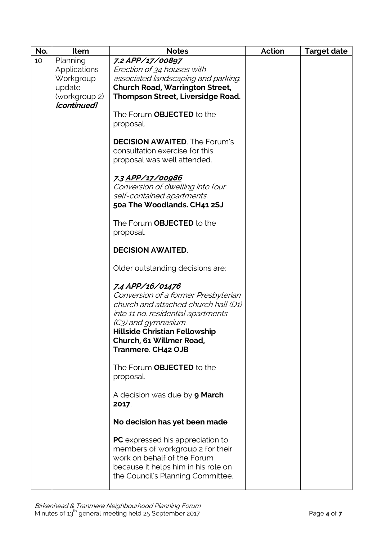| No. | Item          | <b>Notes</b>                            | <b>Action</b> | <b>Target date</b> |
|-----|---------------|-----------------------------------------|---------------|--------------------|
| 10  | Planning      | 7.2 APP/17/00897                        |               |                    |
|     | Applications  | Erection of 34 houses with              |               |                    |
|     | Workgroup     | associated landscaping and parking.     |               |                    |
|     | update        | <b>Church Road, Warrington Street,</b>  |               |                    |
|     | (workgroup 2) | Thompson Street, Liversidge Road.       |               |                    |
|     | [continued]   |                                         |               |                    |
|     |               | The Forum <b>OBJECTED</b> to the        |               |                    |
|     |               | proposal.                               |               |                    |
|     |               |                                         |               |                    |
|     |               | <b>DECISION AWAITED.</b> The Forum's    |               |                    |
|     |               | consultation exercise for this          |               |                    |
|     |               | proposal was well attended.             |               |                    |
|     |               |                                         |               |                    |
|     |               | 7.3 APP/17/00986                        |               |                    |
|     |               | Conversion of dwelling into four        |               |                    |
|     |               | self-contained apartments.              |               |                    |
|     |               | 50a The Woodlands. CH41 2SJ             |               |                    |
|     |               |                                         |               |                    |
|     |               | The Forum OBJECTED to the               |               |                    |
|     |               | proposal.                               |               |                    |
|     |               | <b>DECISION AWAITED.</b>                |               |                    |
|     |               | Older outstanding decisions are:        |               |                    |
|     |               | 7.4 <u>APP/16/01476</u>                 |               |                    |
|     |               | Conversion of a former Presbyterian     |               |                    |
|     |               | church and attached church hall (D1)    |               |                    |
|     |               | into 11 no. residential apartments      |               |                    |
|     |               | (C3) and gymnasium.                     |               |                    |
|     |               | <b>Hillside Christian Fellowship</b>    |               |                    |
|     |               | Church, 61 Willmer Road,                |               |                    |
|     |               | <b>Tranmere. CH42 OJB</b>               |               |                    |
|     |               |                                         |               |                    |
|     |               | The Forum OBJECTED to the               |               |                    |
|     |               | proposal.                               |               |                    |
|     |               |                                         |               |                    |
|     |               | A decision was due by <b>9 March</b>    |               |                    |
|     |               | 2017                                    |               |                    |
|     |               | No decision has yet been made           |               |                    |
|     |               |                                         |               |                    |
|     |               | <b>PC</b> expressed his appreciation to |               |                    |
|     |               | members of workgroup 2 for their        |               |                    |
|     |               | work on behalf of the Forum             |               |                    |
|     |               | because it helps him in his role on     |               |                    |
|     |               | the Council's Planning Committee.       |               |                    |
|     |               |                                         |               |                    |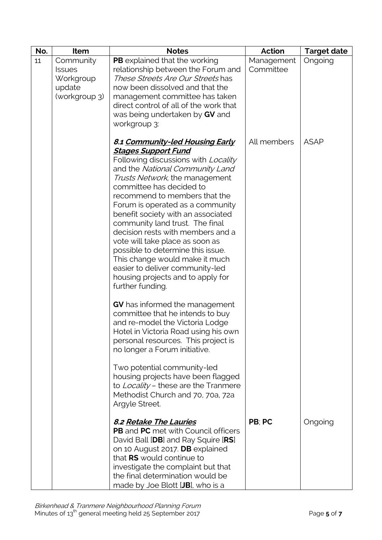| No. | Item                                                               | <b>Notes</b>                                                                                                                                                                                                                                                                                                                                                                                                                                                                                                                                                                                                                                                                                                                                                                                                                                                                                                                                                                                        | <b>Action</b>           | <b>Target date</b> |
|-----|--------------------------------------------------------------------|-----------------------------------------------------------------------------------------------------------------------------------------------------------------------------------------------------------------------------------------------------------------------------------------------------------------------------------------------------------------------------------------------------------------------------------------------------------------------------------------------------------------------------------------------------------------------------------------------------------------------------------------------------------------------------------------------------------------------------------------------------------------------------------------------------------------------------------------------------------------------------------------------------------------------------------------------------------------------------------------------------|-------------------------|--------------------|
| 11  | Community<br><b>Issues</b><br>Workgroup<br>update<br>(workgroup 3) | PB explained that the working<br>relationship between the Forum and<br>These Streets Are Our Streets has<br>now been dissolved and that the<br>management committee has taken<br>direct control of all of the work that<br>was being undertaken by GV and<br>workgroup 3:                                                                                                                                                                                                                                                                                                                                                                                                                                                                                                                                                                                                                                                                                                                           | Management<br>Committee | Ongoing            |
|     |                                                                    | 8.1 Community-led Housing Early<br><u> Stages Support Fund</u><br>Following discussions with Locality<br>and the National Community Land<br>Trusts Network, the management<br>committee has decided to<br>recommend to members that the<br>Forum is operated as a community<br>benefit society with an associated<br>community land trust. The final<br>decision rests with members and a<br>vote will take place as soon as<br>possible to determine this issue.<br>This change would make it much<br>easier to deliver community-led<br>housing projects and to apply for<br>further funding.<br><b>GV</b> has informed the management<br>committee that he intends to buy<br>and re-model the Victoria Lodge<br>Hotel in Victoria Road using his own<br>personal resources. This project is<br>no longer a Forum initiative.<br>Two potential community-led<br>housing projects have been flagged<br>to Locality - these are the Tranmere<br>Methodist Church and 70, 70a, 72a<br>Argyle Street. | All members             | <b>ASAP</b>        |
|     |                                                                    | <b>8.2 Retake The Lauries</b><br><b>PB</b> and <b>PC</b> met with Council officers<br>David Ball [DB] and Ray Squire [RS]<br>on 10 August 2017. DB explained<br>that RS would continue to<br>investigate the complaint but that<br>the final determination would be<br>made by Joe Blott [JB], who is a                                                                                                                                                                                                                                                                                                                                                                                                                                                                                                                                                                                                                                                                                             | PB: PC                  | Ongoing            |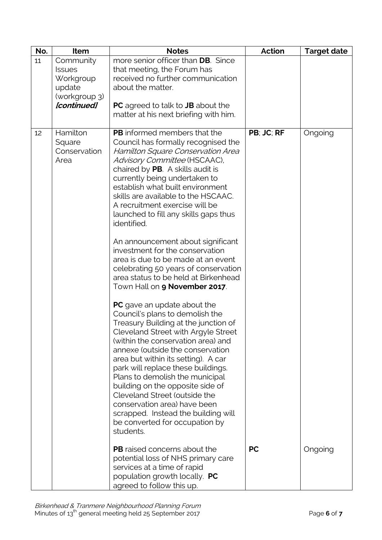| No. | Item                                                                              | <b>Notes</b>                                                                                                                                                                                                                                                                                                                                                                                                                                                                                                                                                                                                                                                                                                                                                                                                                                                                                                                                                                                                                                                                                                                                                           | <b>Action</b> | <b>Target date</b> |
|-----|-----------------------------------------------------------------------------------|------------------------------------------------------------------------------------------------------------------------------------------------------------------------------------------------------------------------------------------------------------------------------------------------------------------------------------------------------------------------------------------------------------------------------------------------------------------------------------------------------------------------------------------------------------------------------------------------------------------------------------------------------------------------------------------------------------------------------------------------------------------------------------------------------------------------------------------------------------------------------------------------------------------------------------------------------------------------------------------------------------------------------------------------------------------------------------------------------------------------------------------------------------------------|---------------|--------------------|
| 11  | Community<br><b>Issues</b><br>Workgroup<br>update<br>(workgroup 3)<br>[continued] | more senior officer than DB. Since<br>that meeting, the Forum has<br>received no further communication<br>about the matter.<br><b>PC</b> agreed to talk to <b>JB</b> about the                                                                                                                                                                                                                                                                                                                                                                                                                                                                                                                                                                                                                                                                                                                                                                                                                                                                                                                                                                                         |               |                    |
|     |                                                                                   | matter at his next briefing with him.                                                                                                                                                                                                                                                                                                                                                                                                                                                                                                                                                                                                                                                                                                                                                                                                                                                                                                                                                                                                                                                                                                                                  |               |                    |
| 12  | Hamilton<br>Square<br>Conservation<br>Area                                        | PB informed members that the<br>Council has formally recognised the<br>Hamilton Square Conservation Area<br>Advisory Committee (HSCAAC),<br>chaired by PB. A skills audit is<br>currently being undertaken to<br>establish what built environment<br>skills are available to the HSCAAC.<br>A recruitment exercise will be<br>launched to fill any skills gaps thus<br>identified.<br>An announcement about significant<br>investment for the conservation<br>area is due to be made at an event<br>celebrating 50 years of conservation<br>area status to be held at Birkenhead<br>Town Hall on <b>9 November 2017</b> .<br><b>PC</b> gave an update about the<br>Council's plans to demolish the<br>Treasury Building at the junction of<br>Cleveland Street with Argyle Street<br>(within the conservation area) and<br>annexe (outside the conservation<br>area but within its setting). A car<br>park will replace these buildings.<br>Plans to demolish the municipal<br>building on the opposite side of<br>Cleveland Street (outside the<br>conservation area) have been<br>scrapped. Instead the building will<br>be converted for occupation by<br>students. | PB; JC; RF    | Ongoing            |
|     |                                                                                   | <b>PB</b> raised concerns about the<br>potential loss of NHS primary care<br>services at a time of rapid<br>population growth locally. PC<br>agreed to follow this up.                                                                                                                                                                                                                                                                                                                                                                                                                                                                                                                                                                                                                                                                                                                                                                                                                                                                                                                                                                                                 | <b>PC</b>     | Ongoing            |